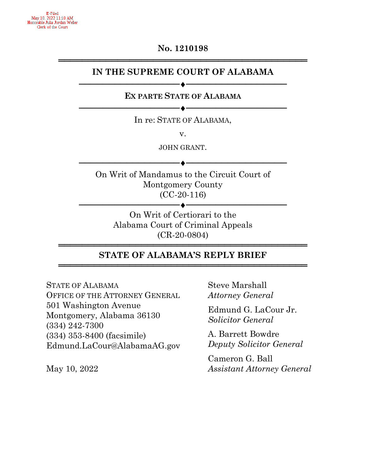## **No. 1210198** ══════════════════════════════════════════

### **IN THE SUPREME COURT OF ALABAMA**

## **EX PARTE STATE OF ALABAMA** ────────────────<del>─</del>

─────────<del>─</del>

In re: STATE OF ALABAMA,

v.

JOHN GRANT.

──────────────────<del>─</del>

On Writ of Mandamus to the Circuit Court of Montgomery County (CC-20-116)

───────────<del>─</del>◆─────────────────────── On Writ of Certiorari to the Alabama Court of Criminal Appeals (CR-20-0804)

### **══════════════════════════════════════════ STATE OF ALABAMA'S REPLY BRIEF**  ══════════════════════════════════════════

STATE OF ALABAMA OFFICE OF THE ATTORNEY GENERAL 501 Washington Avenue Montgomery, Alabama 36130 (334) 242-7300 (334) 353-8400 (facsimile) Edmund.LaCour@AlabamaAG.gov

May 10, 2022

Steve Marshall *Attorney General*

Edmund G. LaCour Jr. *Solicitor General*

A. Barrett Bowdre *Deputy Solicitor General*

Cameron G. Ball *Assistant Attorney General*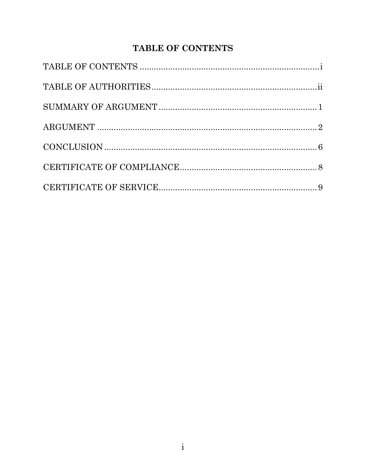# TABLE OF CONTENTS

<span id="page-1-0"></span>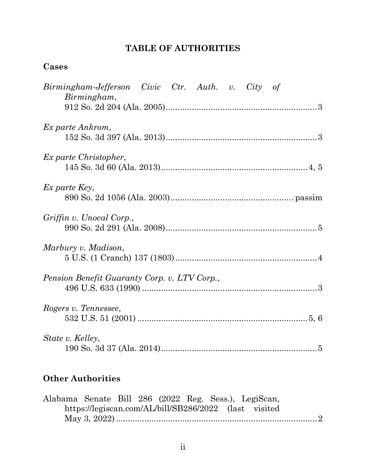## **TABLE OF AUTHORITIES**

## <span id="page-2-0"></span>**Cases**

| Birmingham-Jefferson Civic Ctr. Auth. v. City of<br>Birmingham, |  |
|-----------------------------------------------------------------|--|
| Ex parte Ankrom,                                                |  |
| Ex parte Christopher,                                           |  |
| Ex parte Key,                                                   |  |
| Griffin v. Unocal Corp.,                                        |  |
| Marbury v. Madison,                                             |  |
| Pension Benefit Guaranty Corp. v. LTV Corp.,                    |  |
| Rogers v. Tennessee,                                            |  |
| State v. Kelley,                                                |  |

# **Other Authorities**

|  |  |  | Alabama Senate Bill 286 (2022 Reg. Sess.), LegiScan,  |  |
|--|--|--|-------------------------------------------------------|--|
|  |  |  | https://legiscan.com/AL/bill/SB286/2022 (last visited |  |
|  |  |  |                                                       |  |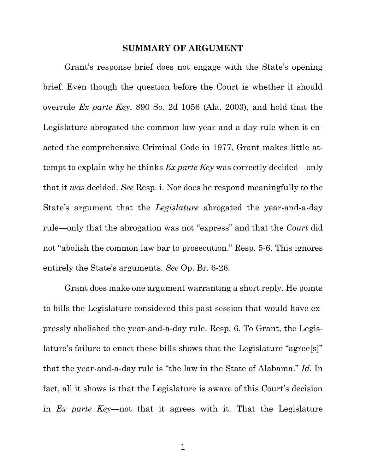#### **SUMMARY OF ARGUMENT**

<span id="page-3-0"></span>Grant's response brief does not engage with the State's opening brief. Even though the question before the Court is whether it should overrule *Ex parte Key*, 890 So. 2d 1056 (Ala. 2003), and hold that the Legislature abrogated the common law year-and-a-day rule when it enacted the comprehensive Criminal Code in 1977, Grant makes little attempt to explain why he thinks *Ex parte Key* was correctly decided—only that it *was* decided. *See* Resp. i. Nor does he respond meaningfully to the State's argument that the *Legislature* abrogated the year-and-a-day rule—only that the abrogation was not "express" and that the *Court* did not "abolish the common law bar to prosecution." Resp. 5-6. This ignores entirely the State's arguments. *See* Op. Br. 6-26.

Grant does make one argument warranting a short reply. He points to bills the Legislature considered this past session that would have expressly abolished the year-and-a-day rule. Resp. 6. To Grant, the Legislature's failure to enact these bills shows that the Legislature "agree[s]" that the year-and-a-day rule is "the law in the State of Alabama." *Id.* In fact, all it shows is that the Legislature is aware of this Court's decision in *Ex parte Key*—not that it agrees with it. That the Legislature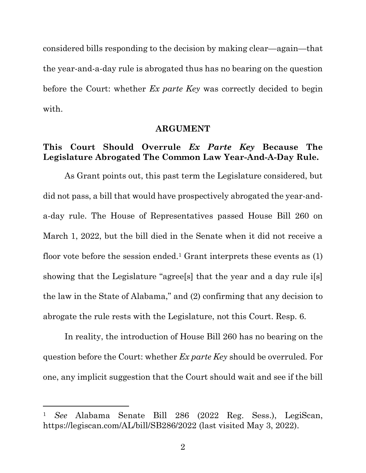considered bills responding to the decision by making clear—again—that the year-and-a-day rule is abrogated thus has no bearing on the question before the Court: whether *Ex parte Key* was correctly decided to begin with.

### **ARGUMENT**

### <span id="page-4-0"></span>**This Court Should Overrule** *Ex Parte Key* **Because The Legislature Abrogated The Common Law Year-And-A-Day Rule.**

As Grant points out, this past term the Legislature considered, but did not pass, a bill that would have prospectively abrogated the year-anda-day rule. The House of Representatives passed House Bill 260 on March 1, 2022, but the bill died in the Senate when it did not receive a floor vote before the session ended.<sup>1</sup> Grant interprets these events as  $(1)$ showing that the Legislature "agree[s] that the year and a day rule i[s] the law in the State of Alabama," and (2) confirming that any decision to abrogate the rule rests with the Legislature, not this Court. Resp. 6.

In reality, the introduction of House Bill 260 has no bearing on the question before the Court: whether *Ex parte Key* should be overruled. For one, any implicit suggestion that the Court should wait and see if the bill

<sup>1</sup> *See* Alabama Senate Bill 286 (2022 Reg. Sess.), LegiScan, https://legiscan.com/AL/bill/SB286/2022 (last visited May 3, 2022).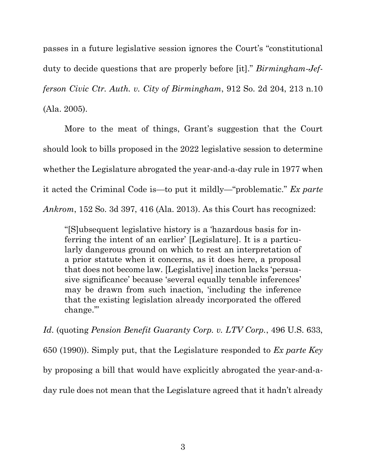passes in a future legislative session ignores the Court's "constitutional duty to decide questions that are properly before [it]." *Birmingham-Jefferson Civic Ctr. Auth. v. City of Birmingham*, 912 So. 2d 204, 213 n.10 (Ala. 2005).

More to the meat of things, Grant's suggestion that the Court should look to bills proposed in the 2022 legislative session to determine whether the Legislature abrogated the year-and-a-day rule in 1977 when it acted the Criminal Code is—to put it mildly—"problematic." *Ex parte Ankrom*, 152 So. 3d 397, 416 (Ala. 2013). As this Court has recognized:

"[S]ubsequent legislative history is a 'hazardous basis for inferring the intent of an earlier' [Legislature]. It is a particularly dangerous ground on which to rest an interpretation of a prior statute when it concerns, as it does here, a proposal that does not become law. [Legislative] inaction lacks 'persuasive significance' because 'several equally tenable inferences' may be drawn from such inaction, 'including the inference that the existing legislation already incorporated the offered change.'"

*Id*. (quoting *Pension Benefit Guaranty Corp. v. LTV Corp.*, 496 U.S. 633, 650 (1990)). Simply put, that the Legislature responded to *Ex parte Key* by proposing a bill that would have explicitly abrogated the year-and-aday rule does not mean that the Legislature agreed that it hadn't already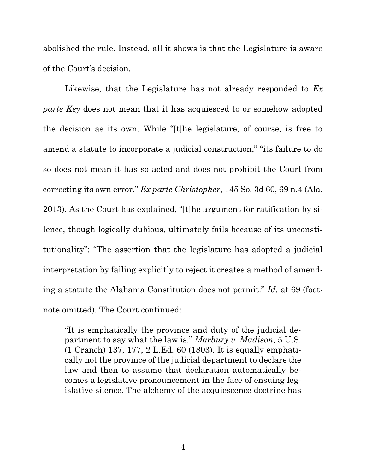abolished the rule. Instead, all it shows is that the Legislature is aware of the Court's decision.

Likewise, that the Legislature has not already responded to *Ex parte Key* does not mean that it has acquiesced to or somehow adopted the decision as its own. While "[t]he legislature, of course, is free to amend a statute to incorporate a judicial construction," "its failure to do so does not mean it has so acted and does not prohibit the Court from correcting its own error." *Ex parte Christopher*, 145 So. 3d 60, 69 n.4 (Ala. 2013). As the Court has explained, "[t]he argument for ratification by silence, though logically dubious, ultimately fails because of its unconstitutionality": "The assertion that the legislature has adopted a judicial interpretation by failing explicitly to reject it creates a method of amending a statute the Alabama Constitution does not permit." *Id.* at 69 (footnote omitted). The Court continued:

"It is emphatically the province and duty of the judicial department to say what the law is." *Marbury v. Madison*, 5 U.S. (1 Cranch) 137, 177, 2 L.Ed. 60 (1803). It is equally emphatically not the province of the judicial department to declare the law and then to assume that declaration automatically becomes a legislative pronouncement in the face of ensuing legislative silence. The alchemy of the acquiescence doctrine has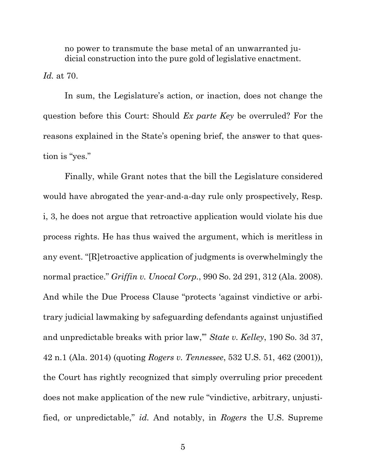no power to transmute the base metal of an unwarranted judicial construction into the pure gold of legislative enactment.

*Id.* at 70.

In sum, the Legislature's action, or inaction, does not change the question before this Court: Should *Ex parte Key* be overruled? For the reasons explained in the State's opening brief, the answer to that question is "yes."

Finally, while Grant notes that the bill the Legislature considered would have abrogated the year-and-a-day rule only prospectively, Resp. i, 3, he does not argue that retroactive application would violate his due process rights. He has thus waived the argument, which is meritless in any event. "[R]etroactive application of judgments is overwhelmingly the normal practice." *Griffin v. Unocal Corp.*, 990 So. 2d 291, 312 (Ala. 2008). And while the Due Process Clause "protects 'against vindictive or arbitrary judicial lawmaking by safeguarding defendants against unjustified and unpredictable breaks with prior law,'" *State v. Kelley*, 190 So. 3d 37, 42 n.1 (Ala. 2014) (quoting *Rogers v. Tennessee*, 532 U.S. 51, 462 (2001)), the Court has rightly recognized that simply overruling prior precedent does not make application of the new rule "vindictive, arbitrary, unjustified, or unpredictable," *id.* And notably, in *Rogers* the U.S. Supreme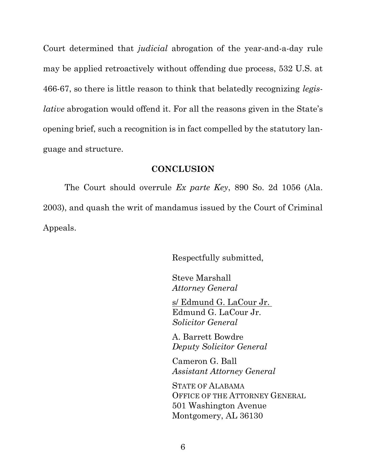Court determined that *judicial* abrogation of the year-and-a-day rule may be applied retroactively without offending due process, 532 U.S. at 466-67, so there is little reason to think that belatedly recognizing *legislative* abrogation would offend it. For all the reasons given in the State's opening brief, such a recognition is in fact compelled by the statutory language and structure.

### **CONCLUSION**

<span id="page-8-0"></span>The Court should overrule *Ex parte Key*, 890 So. 2d 1056 (Ala. 2003), and quash the writ of mandamus issued by the Court of Criminal Appeals.

Respectfully submitted,

Steve Marshall *Attorney General*

s/ Edmund G. LaCour Jr. Edmund G. LaCour Jr. *Solicitor General*

A. Barrett Bowdre *Deputy Solicitor General*

Cameron G. Ball *Assistant Attorney General*

STATE OF ALABAMA OFFICE OF THE ATTORNEY GENERAL 501 Washington Avenue Montgomery, AL 36130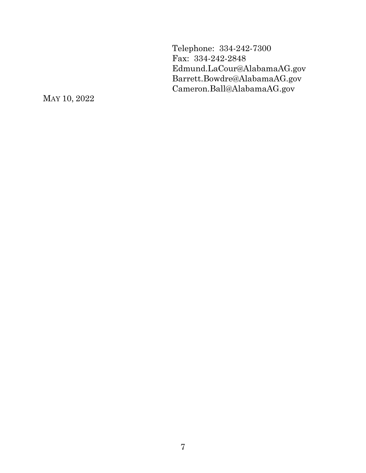Telephone: 334-242-7300 Fax: 334-242-2848 Edmund.LaCour@AlabamaAG.gov Barrett.Bowdre@AlabamaAG.gov Cameron.Ball@AlabamaAG.gov

MAY 10, 2022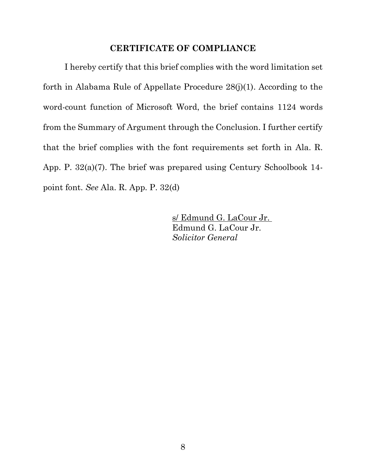### **CERTIFICATE OF COMPLIANCE**

<span id="page-10-0"></span>I hereby certify that this brief complies with the word limitation set forth in Alabama Rule of Appellate Procedure 28(j)(1). According to the word-count function of Microsoft Word, the brief contains 1124 words from the Summary of Argument through the Conclusion. I further certify that the brief complies with the font requirements set forth in Ala. R. App. P. 32(a)(7). The brief was prepared using Century Schoolbook 14 point font. *See* Ala. R. App. P. 32(d)

> s/ Edmund G. LaCour Jr. Edmund G. LaCour Jr. *Solicitor General*